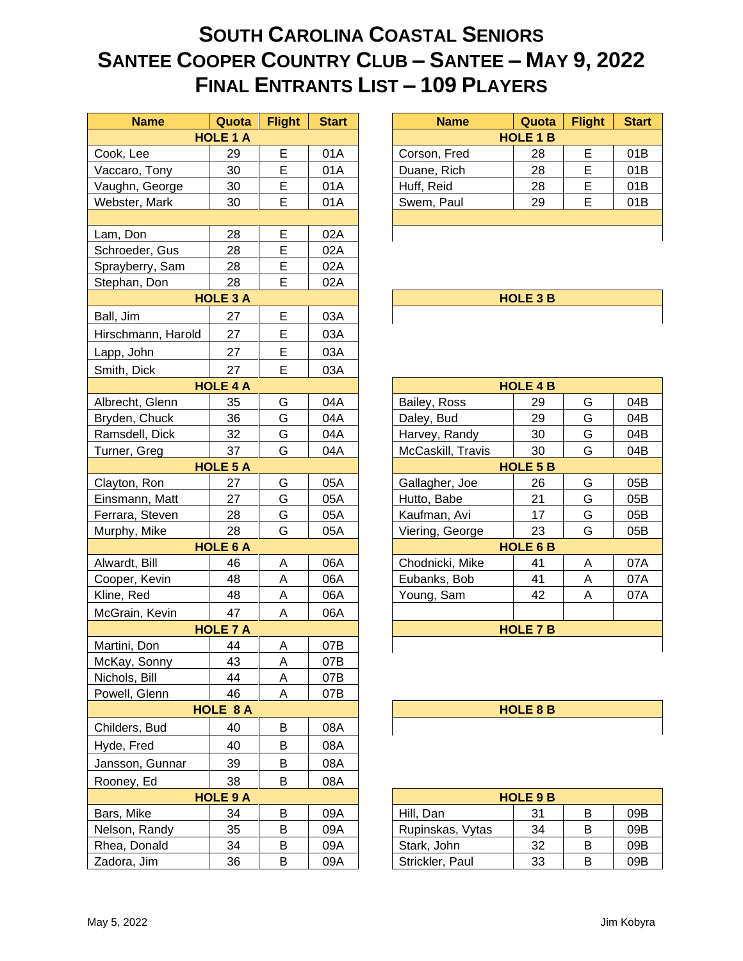## **SOUTH CAROLINA COASTAL SENIORS SANTEE COOPER COUNTRY CLUB – SANTEE – MAY 9, 2022 FINAL ENTRANTS LIST – 109 PLAYERS**

| <b>Name</b>        | Quota           | <b>Flight</b> | <b>Start</b> | <b>Name</b>       | Quota           | <b>Flight</b> | <b>Star</b> |
|--------------------|-----------------|---------------|--------------|-------------------|-----------------|---------------|-------------|
|                    | <b>HOLE 1 A</b> |               |              |                   | <b>HOLE 1 B</b> |               |             |
| Cook, Lee          | 29              | E             | 01A          | Corson, Fred      | 28              | E             | 01B         |
| Vaccaro, Tony      | 30              | E             | 01A          | Duane, Rich       | 28              | E             | 01B         |
| Vaughn, George     | 30              | E             | 01A          | Huff, Reid        | 28              | E             | 01B         |
| Webster, Mark      | 30              | E             | 01A          | Swem, Paul        | 29              | E             | 01B         |
|                    |                 |               |              |                   |                 |               |             |
| Lam, Don           | 28              | E             | 02A          |                   |                 |               |             |
| Schroeder, Gus     | 28              | E             | 02A          |                   |                 |               |             |
| Sprayberry, Sam    | 28              | E             | 02A          |                   |                 |               |             |
| Stephan, Don       | 28              | E             | 02A          |                   |                 |               |             |
|                    | <b>HOLE 3 A</b> |               |              |                   | <b>HOLE 3 B</b> |               |             |
| Ball, Jim          | 27              | Ε             | 03A          |                   |                 |               |             |
| Hirschmann, Harold | 27              | E             | 03A          |                   |                 |               |             |
| Lapp, John         | 27              | E             | 03A          |                   |                 |               |             |
| Smith, Dick        | 27              | E             | 03A          |                   |                 |               |             |
|                    | <b>HOLE 4 A</b> |               |              |                   | <b>HOLE 4 B</b> |               |             |
| Albrecht, Glenn    | 35              | G             | 04A          | Bailey, Ross      | 29              | G             | 04B         |
| Bryden, Chuck      | 36              | G             | 04A          | Daley, Bud        | 29              | G             | 04B         |
| Ramsdell, Dick     | 32              | G             | 04A          | Harvey, Randy     | 30              | G             | 04B         |
| Turner, Greg       | 37              | G             | 04A          | McCaskill, Travis | 30              | G             | 04B         |
|                    | <b>HOLE 5 A</b> |               |              |                   | <b>HOLE 5 B</b> |               |             |
| Clayton, Ron       | 27              | G             | 05A          | Gallagher, Joe    | 26              | G             | 05B         |
| Einsmann, Matt     | 27              | G             | 05A          | Hutto, Babe       | 21              | G             | 05B         |
| Ferrara, Steven    | 28              | G             | 05A          | Kaufman, Avi      | 17              | G             | 05B         |
| Murphy, Mike       | 28              | G             | 05A          | Viering, George   | 23              | G             | 05B         |
|                    | <b>HOLE 6 A</b> |               |              |                   | <b>HOLE 6 B</b> |               |             |
| Alwardt, Bill      | 46              | Α             | 06A          | Chodnicki, Mike   | 41              | A             | 07A         |
| Cooper, Kevin      | 48              | А             | 06A          | Eubanks, Bob      | 41              | A             | 07A         |
| Kline, Red         | 48              | Α             | 06A          | Young, Sam        | 42              | A             | 07A         |
| McGrain, Kevin     | 47              | Α             | 06A          |                   |                 |               |             |
|                    | <b>HOLE 7 A</b> |               |              |                   | <b>HOLE 7 B</b> |               |             |
| Martini, Don       | 44              | Α             | 07B          |                   |                 |               |             |
| McKay, Sonny       | 43              | A             | 07B          |                   |                 |               |             |
| Nichols, Bill      | 44              | A             | 07B          |                   |                 |               |             |
| Powell, Glenn      | 46              | Α             | 07B          |                   |                 |               |             |
|                    | <b>HOLE 8 A</b> |               |              |                   | <b>HOLE 8 B</b> |               |             |
| Childers, Bud      | 40              | B             | 08A          |                   |                 |               |             |
| Hyde, Fred         | 40              | B             | 08A          |                   |                 |               |             |
| Jansson, Gunnar    | 39              | B             | 08A          |                   |                 |               |             |
| Rooney, Ed         | 38              | B             | 08A          |                   |                 |               |             |
|                    | <b>HOLE 9 A</b> |               |              |                   | <b>HOLE 9 B</b> |               |             |
| Bars, Mike         | 34              | В             | 09A          | Hill, Dan         | 31              | B             | 09B         |
| Nelson, Randy      | 35              | B             | 09A          | Rupinskas, Vytas  | 34              | B             | 09B         |
| Rhea, Donald       | 34              | B             | 09A          | Stark, John       | 32              | B             | 09B         |
| Zadora, Jim        | 36              | B             | 09A          | Strickler, Paul   | 33              | B             | 09B         |

| <b>Name</b> | Quota           | <b>Flight</b> | <b>Start</b> | <b>Name</b>  | Quota           | <b>Flight</b> | <b>Start</b> |
|-------------|-----------------|---------------|--------------|--------------|-----------------|---------------|--------------|
|             | <b>HOLE 1 A</b> |               |              |              | <b>HOLE 1 B</b> |               |              |
| -ee         | 29              | Е             | 01A          | Corson, Fred | 28              | Е             | 01B          |
| o, Tony     | 30              |               | 01A          | Duane, Rich  | 28              | Е             | 01B          |
| า, George   | 30              | E             | 01A          | Huff, Reid   | 28              | Е             | 01B          |
| er, Mark    | 30              | Е             | 01A          | Swem, Paul   | 29              | Е             | 01B          |
|             |                 |               |              |              |                 |               |              |
| on          | 28              |               | 02A          |              |                 |               |              |
|             |                 |               |              |              |                 |               |              |

| <b>HOLE 4 B</b>   |                 |   |     |  |  |  |
|-------------------|-----------------|---|-----|--|--|--|
| Bailey, Ross      | 29              | G | 04B |  |  |  |
| Daley, Bud        | 29              | G | 04B |  |  |  |
| Harvey, Randy     | 30              | G | 04B |  |  |  |
| McCaskill, Travis | 30              | G | 04B |  |  |  |
|                   | <b>HOLE 5 B</b> |   |     |  |  |  |
| Gallagher, Joe    | 26              | G | 05B |  |  |  |
| Hutto, Babe       | 21              | G | 05B |  |  |  |
| Kaufman, Avi      | 17              | G | 05B |  |  |  |
| Viering, George   | 23              | G | 05B |  |  |  |
|                   | <b>HOLE 6 B</b> |   |     |  |  |  |
| Chodnicki, Mike   | 41              | A | 07A |  |  |  |
| Eubanks, Bob      | 41              | А | 07A |  |  |  |
| Young, Sam        | 42              | A | 07A |  |  |  |
|                   |                 |   |     |  |  |  |
| <b>HOLE 7 B</b>   |                 |   |     |  |  |  |
|                   |                 |   |     |  |  |  |

|  |  | <b>HOLE 8 B</b> |  |  |
|--|--|-----------------|--|--|
|  |  |                 |  |  |

| <b>HOLE 9 B</b>  |    |   |     |  |  |  |
|------------------|----|---|-----|--|--|--|
| Hill, Dan        | 31 | в | 09B |  |  |  |
| Rupinskas, Vytas | 34 | в | 09B |  |  |  |
| Stark, John      | 32 | в | 09B |  |  |  |
| Strickler, Paul  | 33 | R | 09B |  |  |  |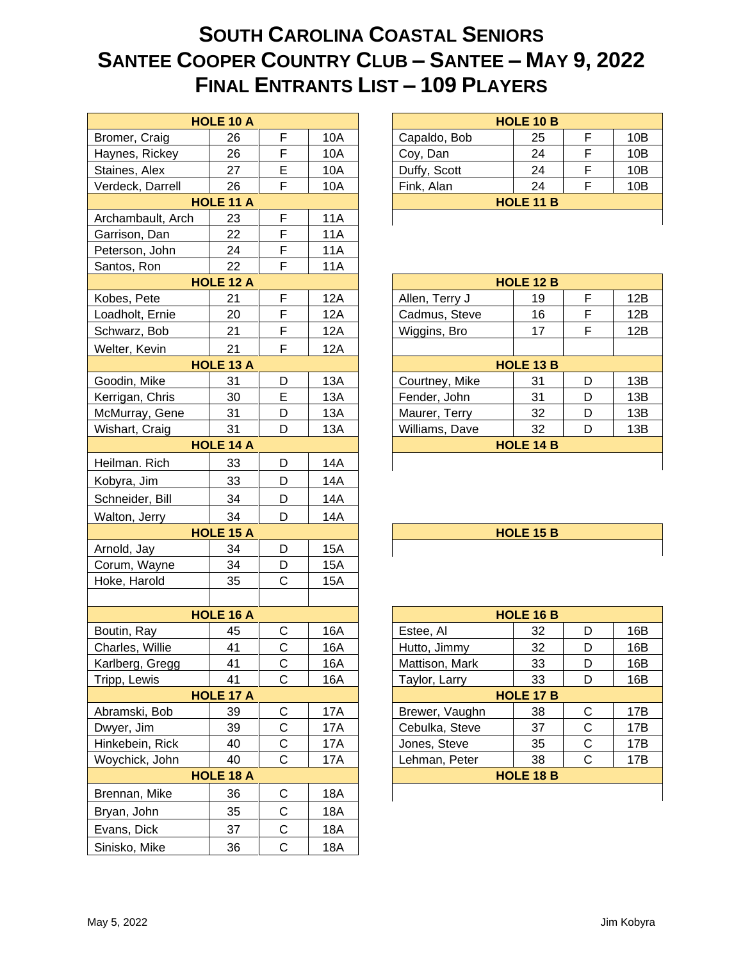## **SOUTH CAROLINA COASTAL SENIORS SANTEE COOPER COUNTRY CLUB – SANTEE – MAY 9, 2022 FINAL ENTRANTS LIST – 109 PLAYERS**

|                   | <b>HOLE 10 A</b> |              |            | <b>HOLE 10 B</b>                           |
|-------------------|------------------|--------------|------------|--------------------------------------------|
| Bromer, Craig     | 26               | F            | 10A        | F<br>25<br>Capaldo, Bob<br>10B             |
| Haynes, Rickey    | 26               | F            | 10A        | $\mathsf F$<br>10B<br>Coy, Dan<br>24       |
| Staines, Alex     | 27               | E            | 10A        | F<br>Duffy, Scott<br>24<br>10B             |
| Verdeck, Darrell  | 26               | F            | 10A        | F<br>Fink, Alan<br>24<br>10B               |
|                   | HOLE 11 A        |              |            | <b>HOLE 11 B</b>                           |
| Archambault, Arch | 23               | F            | <b>11A</b> |                                            |
| Garrison, Dan     | 22               | F            | 11A        |                                            |
| Peterson, John    | 24               | F            | 11A        |                                            |
| Santos, Ron       | 22               | F            | <b>11A</b> |                                            |
|                   | <b>HOLE 12 A</b> |              |            | HOLE 12 B                                  |
| Kobes, Pete       | 21               | F            | 12A        | F<br>Allen, Terry J<br>19<br>12B           |
| Loadholt, Ernie   | 20               | F            | 12A        | F<br>16<br>Cadmus, Steve<br>12B            |
| Schwarz, Bob      | 21               | F            | 12A        | F<br>12B<br>Wiggins, Bro<br>17             |
| Welter, Kevin     | 21               | F            | 12A        |                                            |
|                   | <b>HOLE 13 A</b> |              |            | <b>HOLE 13 B</b>                           |
| Goodin, Mike      | 31               | D            | 13A        | 31<br>D<br>13B<br>Courtney, Mike           |
| Kerrigan, Chris   | 30               | E            | 13A        | Fender, John<br>31<br>D<br>13B             |
| McMurray, Gene    | 31               | D            | 13A        | Maurer, Terry<br>32<br>D<br>13B            |
| Wishart, Craig    | 31               | D            | 13A        | 32<br>Williams, Dave<br>D<br>13B           |
|                   | <b>HOLE 14 A</b> |              |            | <b>HOLE 14 B</b>                           |
| Heilman. Rich     | 33               | D            | 14A        |                                            |
| Kobyra, Jim       | 33               | D            | 14A        |                                            |
| Schneider, Bill   | 34               | D            | 14A        |                                            |
| Walton, Jerry     | 34               | D            | 14A        |                                            |
|                   | <b>HOLE 15 A</b> |              |            | <b>HOLE 15 B</b>                           |
| Arnold, Jay       | 34               | D            | 15A        |                                            |
| Corum, Wayne      | 34               | D            | <b>15A</b> |                                            |
| Hoke, Harold      | 35               | C            | 15A        |                                            |
|                   |                  |              |            |                                            |
|                   | <b>HOLE 16 A</b> |              |            | <b>HOLE 16 B</b>                           |
| Boutin, Ray       | 45               | C            | 16A        | Estee, Al<br>32<br>D<br>16B                |
| Charles, Willie   | 41               | $\mathsf{C}$ | 16A        | 32<br>D<br>16B<br>Hutto, Jimmy             |
| Karlberg, Gregg   | 41               | С            | 16A        | Mattison, Mark<br>33<br>D<br>16B           |
| Tripp, Lewis      | 41               | C            | 16A        | Taylor, Larry<br>33<br>D<br>16B            |
|                   | <b>HOLE 17 A</b> |              |            | HOLE 17 B                                  |
| Abramski, Bob     | 39               | C            | 17A        | Brewer, Vaughn<br>C<br>17B<br>38           |
| Dwyer, Jim        | 39               | $\mathsf C$  | 17A        | $\mathsf C$<br>Cebulka, Steve<br>37<br>17B |
| Hinkebein, Rick   | 40               | $\mathsf C$  | 17A        | Jones, Steve<br>C<br>35<br>17B             |
| Woychick, John    | 40               | $\mathsf C$  | 17A        | $\mathsf C$<br>38<br>17B<br>Lehman, Peter  |
|                   | <b>HOLE 18 A</b> |              |            | HOLE 18 B                                  |
| Brennan, Mike     | 36               | С            | 18A        |                                            |
| Bryan, John       | 35               | С            | 18A        |                                            |
| Evans, Dick       | 37               | C            | 18A        |                                            |
| Sinisko, Mike     | 36               | C            | 18A        |                                            |
|                   |                  |              |            |                                            |

| <b>HOLE 10 B</b> |    |   |     |  |  |  |
|------------------|----|---|-----|--|--|--|
| Capaldo, Bob     | 25 | F | 10B |  |  |  |
| Coy, Dan         | 24 |   | 10B |  |  |  |
| Duffy, Scott     | 24 | F | 10B |  |  |  |
| Fink, Alan       | 24 |   | 10B |  |  |  |
| <b>HOLE 11 B</b> |    |   |     |  |  |  |
|                  |    |   |     |  |  |  |

| <b>HOLE 12 B</b> |    |   |     |  |  |  |  |
|------------------|----|---|-----|--|--|--|--|
| Allen, Terry J   | 19 | F | 12B |  |  |  |  |
| Cadmus, Steve    | 16 | F | 12B |  |  |  |  |
| Wiggins, Bro     | 17 | F | 12B |  |  |  |  |
|                  |    |   |     |  |  |  |  |
| <b>HOLE 13 B</b> |    |   |     |  |  |  |  |
| Courtney, Mike   | 31 | D | 13B |  |  |  |  |
| Fender, John     | 31 | D | 13B |  |  |  |  |
| Maurer, Terry    | 32 | D | 13B |  |  |  |  |
| Williams, Dave   | 32 | D | 13B |  |  |  |  |
| <b>HOLE 14 B</b> |    |   |     |  |  |  |  |
|                  |    |   |     |  |  |  |  |

| <b>HOLE 16 B</b> |    |   |     |  |  |  |  |
|------------------|----|---|-----|--|--|--|--|
| Estee, Al        | 32 | D | 16B |  |  |  |  |
| Hutto, Jimmy     | 32 | D | 16B |  |  |  |  |
| Mattison, Mark   | 33 | D | 16B |  |  |  |  |
| Taylor, Larry    | 33 | D | 16B |  |  |  |  |
| <b>HOLE 17 B</b> |    |   |     |  |  |  |  |
| Brewer, Vaughn   | 38 | C | 17B |  |  |  |  |
| Cebulka, Steve   | 37 | C | 17B |  |  |  |  |
| Jones, Steve     | 35 | C | 17B |  |  |  |  |
| Lehman, Peter    | 38 | C | 17B |  |  |  |  |
| <b>HOLE 18 B</b> |    |   |     |  |  |  |  |
|                  |    |   |     |  |  |  |  |